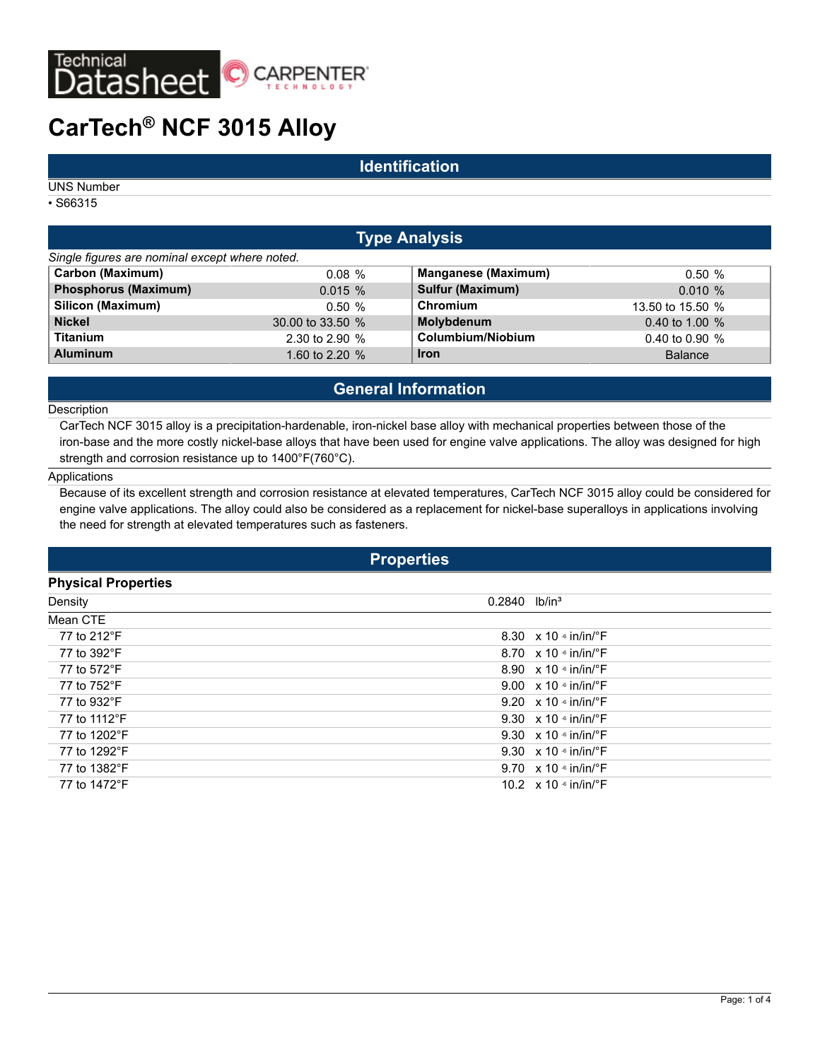

# **CarTech® NCF 3015 Alloy**

## **Identification**

UNS Number

• S66315

## **Type Analysis**

| Single figures are nominal except where noted. |                  |                            |                  |
|------------------------------------------------|------------------|----------------------------|------------------|
| <b>Carbon (Maximum)</b>                        | 0.08%            | <b>Manganese (Maximum)</b> | 0.50%            |
| <b>Phosphorus (Maximum)</b>                    | 0.015%           | <b>Sulfur (Maximum)</b>    | $0.010 \%$       |
| Silicon (Maximum)                              | 0.50%            | Chromium                   | 13.50 to 15.50 % |
| <b>Nickel</b>                                  | 30.00 to 33.50 % | Molybdenum                 | 0.40 to 1.00 $%$ |
| <b>Titanium</b>                                | 2.30 to 2.90 %   | Columbium/Niobium          | 0.40 to 0.90 $%$ |
| <b>Aluminum</b>                                | 1.60 to 2.20 %   | <b>Iron</b>                | <b>Balance</b>   |

## **General Information**

#### **Description**

CarTech NCF 3015 alloy is a precipitation-hardenable, iron-nickel base alloy with mechanical properties between those of the iron-base and the more costly nickel-base alloys that have been used for engine valve applications. The alloy was designed for high strength and corrosion resistance up to 1400°F(760°C).

#### Applications

Because of its excellent strength and corrosion resistance at elevated temperatures, CarTech NCF 3015 alloy could be considered for engine valve applications. The alloy could also be considered as a replacement for nickel-base superalloys in applications involving the need for strength at elevated temperatures such as fasteners.

## **Properties**

#### **Physical Properties**

| Density      | $0.2840$ lb/in <sup>3</sup> |                                                   |
|--------------|-----------------------------|---------------------------------------------------|
| Mean CTE     |                             |                                                   |
| 77 to 212°F  |                             | 8.30 $\times$ 10 $\cdot$ in/in/ $\cdot$ F         |
| 77 to 392°F  |                             | 8.70 $\times$ 10 $\frac{1}{2}$ in/in/ $\degree$ F |
| 77 to 572°F  |                             | 8.90 $\times$ 10 $\cdot$ in/in/ $\cdot$ F         |
| 77 to 752°F  |                             | 9.00 $\times$ 10 $\cdot$ in/in/ $\cdot$ F         |
| 77 to 932°F  |                             | 9.20 $\times$ 10 $\cdot$ in/in/ $\cdot$ F         |
| 77 to 1112°F |                             | 9.30 $\times$ 10 $\frac{1}{2}$ in/in/ $\degree$ F |
| 77 to 1202°F |                             | 9.30 $\times$ 10 $\cdot$ in/in/ $\cdot$ F         |
| 77 to 1292°F |                             | 9.30 $\times$ 10 $\cdot$ in/in/ $\cdot$ F         |
| 77 to 1382°F |                             | 9.70 $\times$ 10 $\cdot$ in/in/ $\cdot$ F         |
| 77 to 1472°F |                             | 10.2 $\times$ 10 $\cdot$ in/in/ $\cdot$ F         |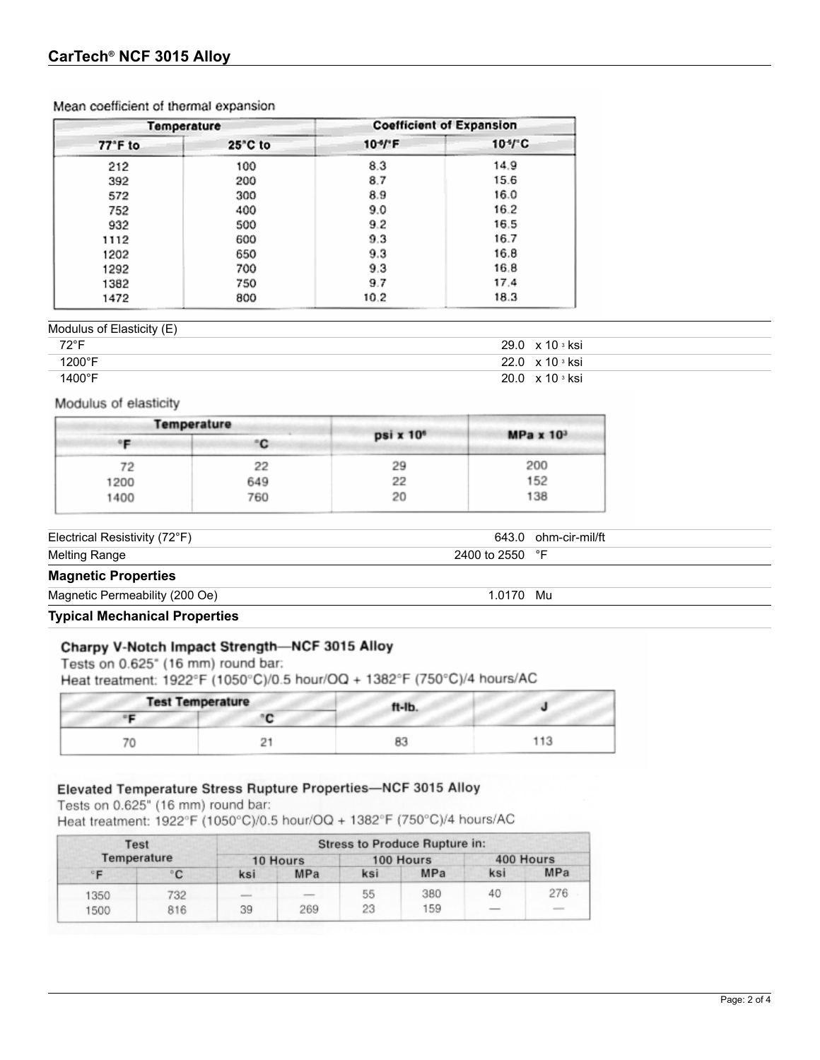|         | Temperature |                    | <b>Coefficient of Expansion</b>         |  |
|---------|-------------|--------------------|-----------------------------------------|--|
| 77°F to | 25"C to     | $104$ <sup>F</sup> | $104$ <sup><math>\degree</math></sup> C |  |
| 212     | 100         | 8.3                | 14.9                                    |  |
| 392     | 200         | 8.7                | 15.6                                    |  |
| 572     | 300         | 8.9                | 16.0                                    |  |
| 752     | 400         | 9.0                | 16.2                                    |  |
| 932     | 500         | 9.2                | 16.5                                    |  |
| 1112    | 600         | 9.3                | 16.7                                    |  |
| 1202    | 650         | 9.3                | 16.8                                    |  |
| 1292    | 700         | 9.3                | 16.8                                    |  |
| 1382    | 750         | 9.7                | 17.4                                    |  |
| 1472    | 800         | 10.2               | 18.3                                    |  |

#### Mean coefficient of thermal expansion

## Modulus of Elasticity (E)

| 72°F   | $29.0 \times 10$ s ksi                        |
|--------|-----------------------------------------------|
| 1200°F | $22.0 \times 10$ $\overline{\phantom{0}}$ ksi |
| 1400°F | $20.0 \times 10$ s ksi                        |

### Modulus of elasticity

|      | <b>Temperature</b> |                       |                         |  |
|------|--------------------|-----------------------|-------------------------|--|
|      | C                  | psi x 10 <sup>6</sup> | MPa $x$ 10 <sup>3</sup> |  |
| 72   | 22                 | 29                    | 200                     |  |
| 1200 | 649                | 22                    | 152                     |  |
| 1400 | 760                | 20                    | 138                     |  |

Electrical Resistivity (72°F) 643.0 ohm-cir-mil/ft

Melting Range 2400 to 2550 °F

## **Magnetic Properties**

Magnetic Permeability (200 Oe) 1.0170 Mu

## **Typical Mechanical Properties**

## Charpy V-Notch Impact Strength-NCF 3015 Alloy

Tests on 0.625" (16 mm) round bar: Heat treatment: 1922°F (1050°C)/0.5 hour/OQ + 1382°F (750°C)/4 hours/AC

| <b>Test Temperature</b> | ft-Ib. |         |
|-------------------------|--------|---------|
|                         |        |         |
|                         | ം      | $4 + 7$ |

## Elevated Temperature Stress Rupture Properties-NCF 3015 Alloy

Tests on 0.625" (16 mm) round bar:

Heat treatment: 1922°F (1050°C)/0.5 hour/OQ + 1382°F (750°C)/4 hours/AC

| Test        |     | <b>Stress to Produce Rupture in:</b> |          |     |           |     |                                                                                                                                                                                                                                                                                                                                                                                                                                                                            |  |
|-------------|-----|--------------------------------------|----------|-----|-----------|-----|----------------------------------------------------------------------------------------------------------------------------------------------------------------------------------------------------------------------------------------------------------------------------------------------------------------------------------------------------------------------------------------------------------------------------------------------------------------------------|--|
| Temperature |     |                                      | 10 Hours |     | 100 Hours |     | 400 Hours                                                                                                                                                                                                                                                                                                                                                                                                                                                                  |  |
|             | ۰c  | ksi                                  | MPa      | ksi | MPa       | ksi | MPa                                                                                                                                                                                                                                                                                                                                                                                                                                                                        |  |
| 1350        | 732 |                                      |          | 55  | 380       | 40  | 276                                                                                                                                                                                                                                                                                                                                                                                                                                                                        |  |
| 1500        | 816 | 39                                   | 269      | 23  | 159       |     | $\frac{1}{2} \left( \frac{1}{2} \right) \left( \frac{1}{2} \right) \left( \frac{1}{2} \right) \left( \frac{1}{2} \right) \left( \frac{1}{2} \right) \left( \frac{1}{2} \right) \left( \frac{1}{2} \right) \left( \frac{1}{2} \right) \left( \frac{1}{2} \right) \left( \frac{1}{2} \right) \left( \frac{1}{2} \right) \left( \frac{1}{2} \right) \left( \frac{1}{2} \right) \left( \frac{1}{2} \right) \left( \frac{1}{2} \right) \left( \frac{1}{2} \right) \left( \frac$ |  |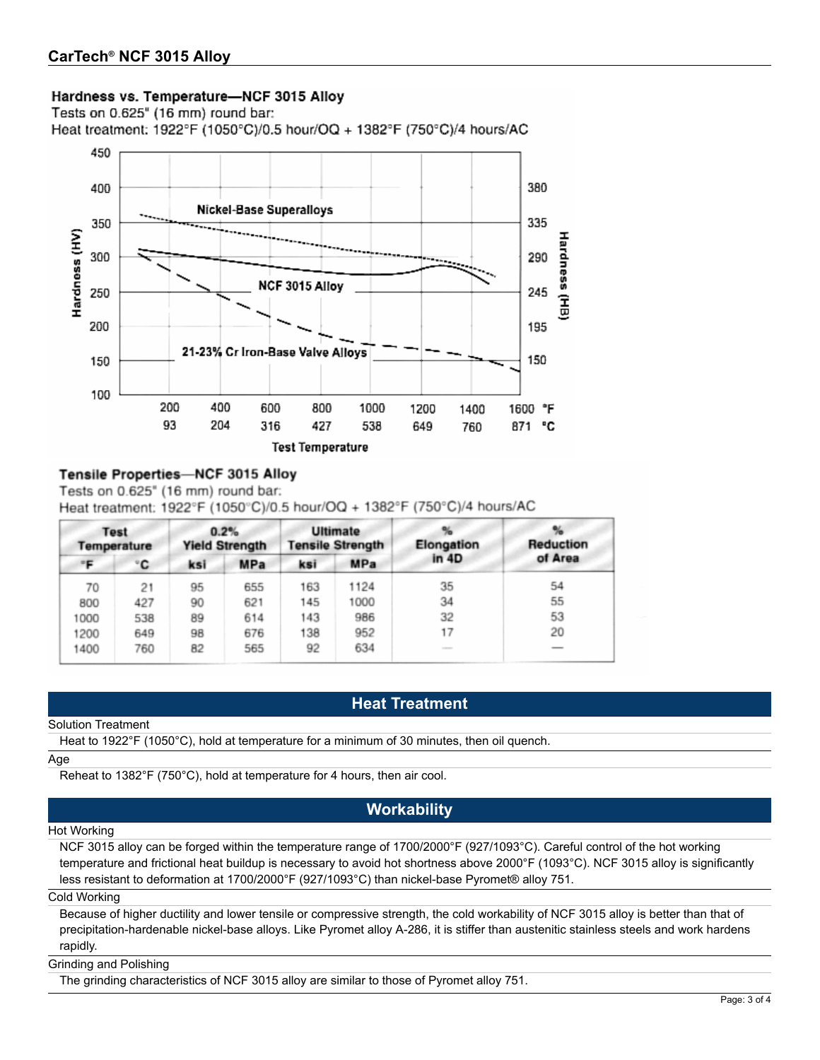## Hardness vs. Temperature-NCF 3015 Alloy

Tests on 0.625" (16 mm) round bar:

Heat treatment: 1922°F (1050°C)/0.5 hour/OQ + 1382°F (750°C)/4 hours/AC



## Tensile Properties-NCF 3015 Alloy

Tests on 0.625" (16 mm) round bar:

| Heat treatment: $1922^{\circ}$ F (1050 $^{\circ}$ C)/0.5 hour/OQ + 1382 $^{\circ}$ F (750 $^{\circ}$ C)/4 hours/AC |  |  |  |  |  |  |  |  |  |
|--------------------------------------------------------------------------------------------------------------------|--|--|--|--|--|--|--|--|--|
|--------------------------------------------------------------------------------------------------------------------|--|--|--|--|--|--|--|--|--|

| <b>Test</b><br>Temperature |     | 0.2%<br><b>Yield Strength</b> |     |            | Elongation                                                                                                                | <b>Reduction</b> |
|----------------------------|-----|-------------------------------|-----|------------|---------------------------------------------------------------------------------------------------------------------------|------------------|
| ۰C                         | ksi | <b>MPa</b>                    | ksi | <b>MPa</b> |                                                                                                                           | of Area          |
| 21                         | 95  | 655                           | 163 | 1124       | 35                                                                                                                        | 54               |
| 427                        | 90  | 621                           | 145 | 1000       | 34                                                                                                                        | 55               |
| 538                        | 89  | 614                           | 143 | 986        | 32                                                                                                                        | 53               |
| 649                        | 98  | 676                           | 138 | 952        | 17                                                                                                                        | 20               |
| 760                        | 82  | 565                           | 92  | 634        | $\frac{1}{2} \left( \frac{1}{2} \right) \left( \frac{1}{2} \right) \left( \frac{1}{2} \right) \left( \frac{1}{2} \right)$ |                  |
|                            |     |                               |     |            | <b>Ultimate</b><br><b>Tensile Strength</b>                                                                                | in 4D            |

## **Heat Treatment**

#### Solution Treatment

Heat to 1922°F (1050°C), hold at temperature for a minimum of 30 minutes, then oil quench.

#### Age

Reheat to 1382°F (750°C), hold at temperature for 4 hours, then air cool.

## **Workability**

#### Hot Working

NCF 3015 alloy can be forged within the temperature range of 1700/2000°F (927/1093°C). Careful control of the hot working temperature and frictional heat buildup is necessary to avoid hot shortness above 2000°F (1093°C). NCF 3015 alloy is significantly less resistant to deformation at 1700/2000°F (927/1093°C) than nickel-base Pyromet® alloy 751.

#### Cold Working

Because of higher ductility and lower tensile or compressive strength, the cold workability of NCF 3015 alloy is better than that of precipitation-hardenable nickel-base alloys. Like Pyromet alloy A-286, it is stiffer than austenitic stainless steels and work hardens rapidly.

#### Grinding and Polishing

The grinding characteristics of NCF 3015 alloy are similar to those of Pyromet alloy 751.